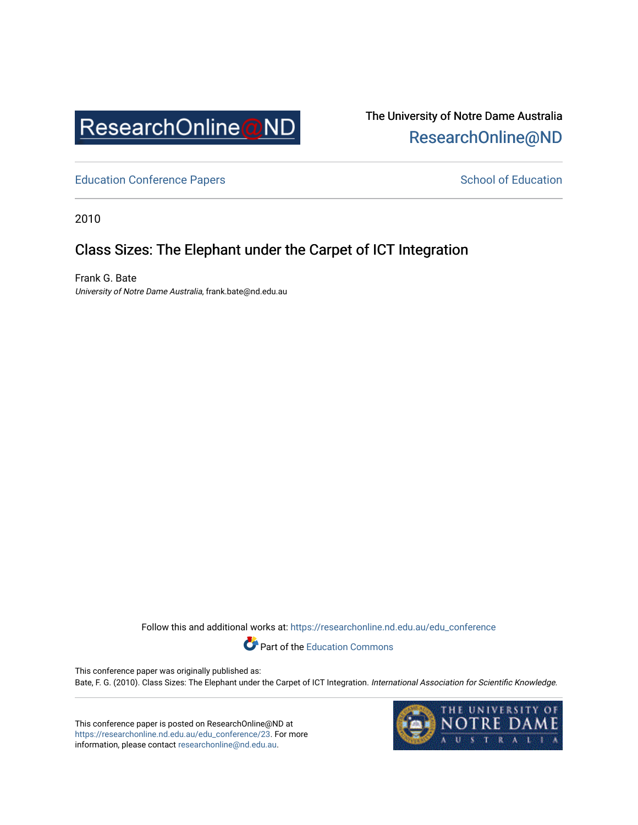

The University of Notre Dame Australia [ResearchOnline@ND](https://researchonline.nd.edu.au/) 

[Education Conference Papers](https://researchonline.nd.edu.au/edu_conference) **School of Education** School of Education

2010

# Class Sizes: The Elephant under the Carpet of ICT Integration

Frank G. Bate University of Notre Dame Australia, frank.bate@nd.edu.au

Follow this and additional works at: [https://researchonline.nd.edu.au/edu\\_conference](https://researchonline.nd.edu.au/edu_conference?utm_source=researchonline.nd.edu.au%2Fedu_conference%2F23&utm_medium=PDF&utm_campaign=PDFCoverPages)

Part of the [Education Commons](http://network.bepress.com/hgg/discipline/784?utm_source=researchonline.nd.edu.au%2Fedu_conference%2F23&utm_medium=PDF&utm_campaign=PDFCoverPages) 

This conference paper was originally published as: Bate, F. G. (2010). Class Sizes: The Elephant under the Carpet of ICT Integration. International Association for Scientific Knowledge.

This conference paper is posted on ResearchOnline@ND at [https://researchonline.nd.edu.au/edu\\_conference/23.](https://researchonline.nd.edu.au/edu_conference/23) For more information, please contact [researchonline@nd.edu.au.](mailto:researchonline@nd.edu.au)

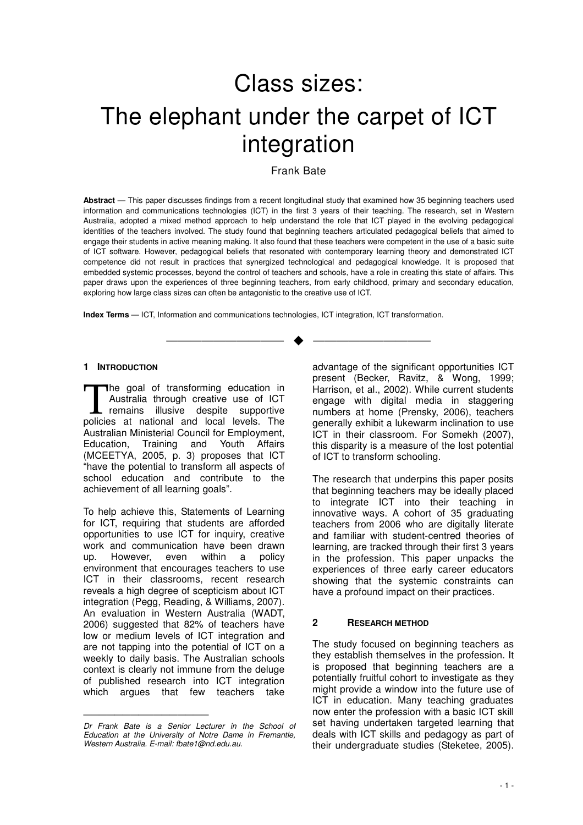# Class sizes: The elephant under the carpet of ICT integration

# Frank Bate

**Abstract** — This paper discusses findings from a recent longitudinal study that examined how 35 beginning teachers used information and communications technologies (ICT) in the first 3 years of their teaching. The research, set in Western Australia, adopted a mixed method approach to help understand the role that ICT played in the evolving pedagogical identities of the teachers involved. The study found that beginning teachers articulated pedagogical beliefs that aimed to engage their students in active meaning making. It also found that these teachers were competent in the use of a basic suite of ICT software. However, pedagogical beliefs that resonated with contemporary learning theory and demonstrated ICT competence did not result in practices that synergized technological and pedagogical knowledge. It is proposed that embedded systemic processes, beyond the control of teachers and schools, have a role in creating this state of affairs. This paper draws upon the experiences of three beginning teachers, from early childhood, primary and secondary education, exploring how large class sizes can often be antagonistic to the creative use of ICT.

—————————— ——————————

**Index Terms** — ICT, Information and communications technologies, ICT integration, ICT transformation.

#### **1 INTRODUCTION**

The goal of transforming education in Australia through creative use of ICT remains illusive despite supportive policies at national and local levels. The Australian Ministerial Council for Employment, Education, Training and Youth Affairs (MCEETYA, 2005, p. 3) proposes that ICT "have the potential to transform all aspects of school education and contribute to the achievement of all learning goals". T

To help achieve this, Statements of Learning for ICT, requiring that students are afforded opportunities to use ICT for inquiry, creative work and communication have been drawn up. However, even within a policy environment that encourages teachers to use ICT in their classrooms, recent research reveals a high degree of scepticism about ICT integration (Pegg, Reading, & Williams, 2007). An evaluation in Western Australia (WADT, 2006) suggested that 82% of teachers have low or medium levels of ICT integration and are not tapping into the potential of ICT on a weekly to daily basis. The Australian schools context is clearly not immune from the deluge of published research into ICT integration which argues that few teachers take

————————————————

advantage of the significant opportunities ICT present (Becker, Ravitz, & Wong, 1999; Harrison, et al., 2002). While current students engage with digital media in staggering numbers at home (Prensky, 2006), teachers generally exhibit a lukewarm inclination to use ICT in their classroom. For Somekh (2007), this disparity is a measure of the lost potential of ICT to transform schooling.

The research that underpins this paper posits that beginning teachers may be ideally placed to integrate ICT into their teaching in innovative ways. A cohort of 35 graduating teachers from 2006 who are digitally literate and familiar with student-centred theories of learning, are tracked through their first 3 years in the profession. This paper unpacks the experiences of three early career educators showing that the systemic constraints can have a profound impact on their practices.

#### **2 RESEARCH METHOD**

The study focused on beginning teachers as they establish themselves in the profession. It is proposed that beginning teachers are a potentially fruitful cohort to investigate as they might provide a window into the future use of ICT in education. Many teaching graduates now enter the profession with a basic ICT skill set having undertaken targeted learning that deals with ICT skills and pedagogy as part of their undergraduate studies (Steketee, 2005).

Dr Frank Bate is a Senior Lecturer in the School of Education at the University of Notre Dame in Fremantle, Western Australia. E-mail: fbate1@nd.edu.au.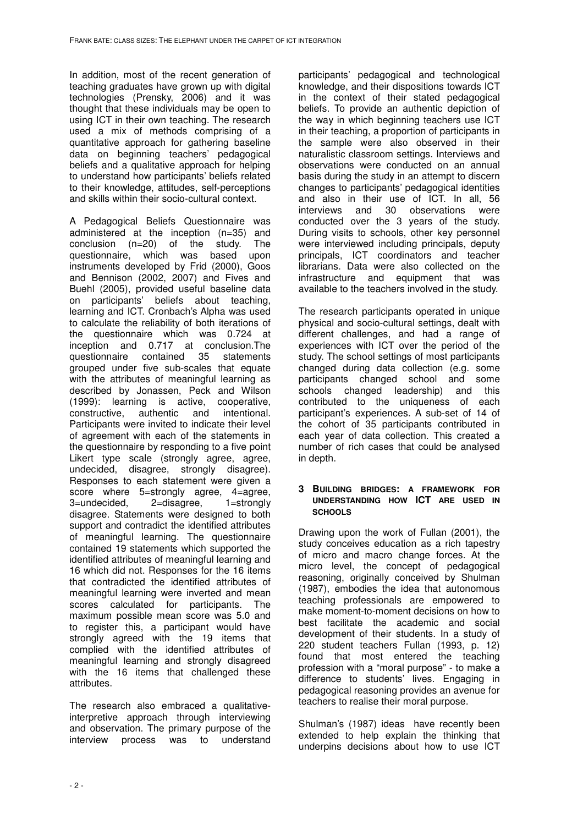In addition, most of the recent generation of teaching graduates have grown up with digital technologies (Prensky, 2006) and it was thought that these individuals may be open to using ICT in their own teaching. The research used a mix of methods comprising of a quantitative approach for gathering baseline data on beginning teachers' pedagogical beliefs and a qualitative approach for helping to understand how participants' beliefs related to their knowledge, attitudes, self-perceptions and skills within their socio-cultural context.

A Pedagogical Beliefs Questionnaire was administered at the inception (n=35) and conclusion (n=20) of the study. The questionnaire, which was based upon instruments developed by Frid (2000), Goos and Bennison (2002, 2007) and Fives and Buehl (2005), provided useful baseline data on participants' beliefs about teaching, learning and ICT. Cronbach's Alpha was used to calculate the reliability of both iterations of the questionnaire which was 0.724 at inception and 0.717 at conclusion.The questionnaire contained 35 statements grouped under five sub-scales that equate with the attributes of meaningful learning as described by Jonassen, Peck and Wilson (1999): learning is active, cooperative, constructive, authentic and intentional. Participants were invited to indicate their level of agreement with each of the statements in the questionnaire by responding to a five point Likert type scale (strongly agree, agree, undecided, disagree, strongly disagree). Responses to each statement were given a score where 5=strongly agree, 4=agree, 3=undecided, 2=disagree, 1=strongly disagree. Statements were designed to both support and contradict the identified attributes of meaningful learning. The questionnaire contained 19 statements which supported the identified attributes of meaningful learning and 16 which did not. Responses for the 16 items that contradicted the identified attributes of meaningful learning were inverted and mean scores calculated for participants. The maximum possible mean score was 5.0 and to register this, a participant would have strongly agreed with the 19 items that complied with the identified attributes of meaningful learning and strongly disagreed with the 16 items that challenged these attributes.

The research also embraced a qualitativeinterpretive approach through interviewing and observation. The primary purpose of the interview process was to understand

participants' pedagogical and technological knowledge, and their dispositions towards ICT in the context of their stated pedagogical beliefs. To provide an authentic depiction of the way in which beginning teachers use ICT in their teaching, a proportion of participants in the sample were also observed in their naturalistic classroom settings. Interviews and observations were conducted on an annual basis during the study in an attempt to discern changes to participants' pedagogical identities and also in their use of ICT. In all, 56 interviews and 30 observations were conducted over the 3 years of the study. During visits to schools, other key personnel were interviewed including principals, deputy principals, ICT coordinators and teacher librarians. Data were also collected on the infrastructure and equipment that was available to the teachers involved in the study.

The research participants operated in unique physical and socio-cultural settings, dealt with different challenges, and had a range of experiences with ICT over the period of the study. The school settings of most participants changed during data collection (e.g. some participants changed school and some schools changed leadership) and this contributed to the uniqueness of each participant's experiences. A sub-set of 14 of the cohort of 35 participants contributed in each year of data collection. This created a number of rich cases that could be analysed in depth.

#### **3 BUILDING BRIDGES: A FRAMEWORK FOR UNDERSTANDING HOW ICT ARE USED IN SCHOOLS**

Drawing upon the work of Fullan (2001), the study conceives education as a rich tapestry of micro and macro change forces. At the micro level, the concept of pedagogical reasoning, originally conceived by Shulman (1987), embodies the idea that autonomous teaching professionals are empowered to make moment-to-moment decisions on how to best facilitate the academic and social development of their students. In a study of 220 student teachers Fullan (1993, p. 12) found that most entered the teaching profession with a "moral purpose" - to make a difference to students' lives. Engaging in pedagogical reasoning provides an avenue for teachers to realise their moral purpose.

Shulman's (1987) ideas have recently been extended to help explain the thinking that underpins decisions about how to use ICT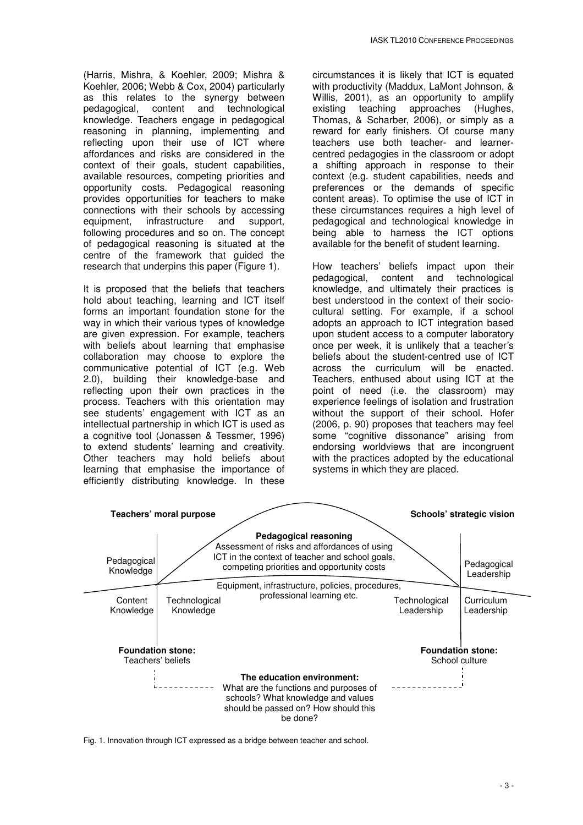(Harris, Mishra, & Koehler, 2009; Mishra & Koehler, 2006; Webb & Cox, 2004) particularly as this relates to the synergy between pedagogical, content and technological knowledge. Teachers engage in pedagogical reasoning in planning, implementing and reflecting upon their use of ICT where affordances and risks are considered in the context of their goals, student capabilities, available resources, competing priorities and opportunity costs. Pedagogical reasoning provides opportunities for teachers to make connections with their schools by accessing<br>equipment. infrastructure and support. equipment, infrastructure and support, following procedures and so on. The concept of pedagogical reasoning is situated at the centre of the framework that guided the research that underpins this paper (Figure 1).

It is proposed that the beliefs that teachers hold about teaching, learning and ICT itself forms an important foundation stone for the way in which their various types of knowledge are given expression. For example, teachers with beliefs about learning that emphasise collaboration may choose to explore the communicative potential of ICT (e.g. Web 2.0), building their knowledge-base and reflecting upon their own practices in the process. Teachers with this orientation may see students' engagement with ICT as an intellectual partnership in which ICT is used as a cognitive tool (Jonassen & Tessmer, 1996) to extend students' learning and creativity. Other teachers may hold beliefs about learning that emphasise the importance of efficiently distributing knowledge. In these

circumstances it is likely that ICT is equated with productivity (Maddux, LaMont Johnson, & Willis, 2001), as an opportunity to amplify existing teaching approaches (Hughes, Thomas, & Scharber, 2006), or simply as a reward for early finishers. Of course many teachers use both teacher- and learnercentred pedagogies in the classroom or adopt a shifting approach in response to their context (e.g. student capabilities, needs and preferences or the demands of specific content areas). To optimise the use of ICT in these circumstances requires a high level of pedagogical and technological knowledge in being able to harness the ICT options available for the benefit of student learning.

How teachers' beliefs impact upon their pedagogical, content and technological knowledge, and ultimately their practices is best understood in the context of their sociocultural setting. For example, if a school adopts an approach to ICT integration based upon student access to a computer laboratory once per week, it is unlikely that a teacher's beliefs about the student-centred use of ICT across the curriculum will be enacted. Teachers, enthused about using ICT at the point of need (i.e. the classroom) may experience feelings of isolation and frustration without the support of their school. Hofer (2006, p. 90) proposes that teachers may feel some "cognitive dissonance" arising from endorsing worldviews that are incongruent with the practices adopted by the educational systems in which they are placed.



Fig. 1. Innovation through ICT expressed as a bridge between teacher and school.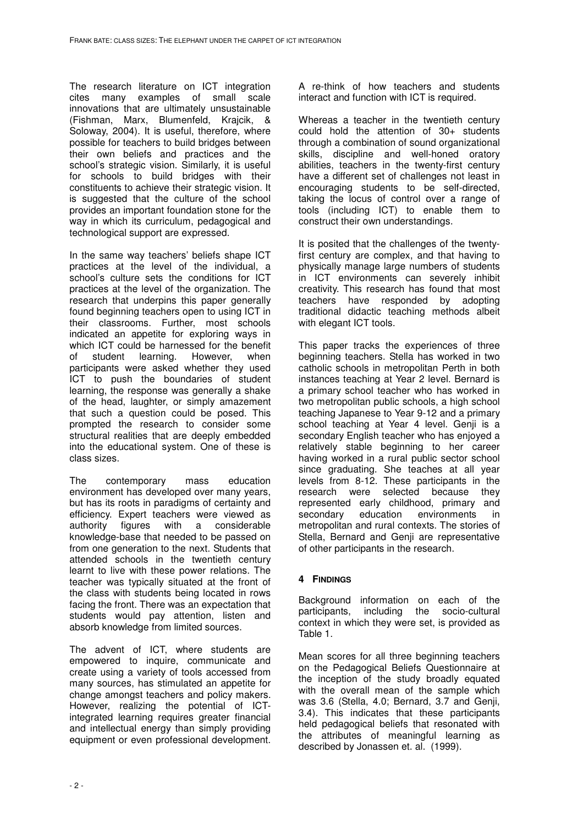The research literature on ICT integration cites many examples of small scale innovations that are ultimately unsustainable (Fishman, Marx, Blumenfeld, Krajcik, & Soloway, 2004). It is useful, therefore, where possible for teachers to build bridges between their own beliefs and practices and the school's strategic vision. Similarly, it is useful for schools to build bridges with their constituents to achieve their strategic vision. It is suggested that the culture of the school provides an important foundation stone for the way in which its curriculum, pedagogical and technological support are expressed.

In the same way teachers' beliefs shape ICT practices at the level of the individual, a school's culture sets the conditions for ICT practices at the level of the organization. The research that underpins this paper generally found beginning teachers open to using ICT in their classrooms. Further, most schools indicated an appetite for exploring ways in which ICT could be harnessed for the benefit of student learning. However, when participants were asked whether they used ICT to push the boundaries of student learning, the response was generally a shake of the head, laughter, or simply amazement that such a question could be posed. This prompted the research to consider some structural realities that are deeply embedded into the educational system. One of these is class sizes.

The contemporary mass education environment has developed over many years, but has its roots in paradigms of certainty and efficiency. Expert teachers were viewed as authority figures with a considerable knowledge-base that needed to be passed on from one generation to the next. Students that attended schools in the twentieth century learnt to live with these power relations. The teacher was typically situated at the front of the class with students being located in rows facing the front. There was an expectation that students would pay attention, listen and absorb knowledge from limited sources.

The advent of ICT, where students are empowered to inquire, communicate and create using a variety of tools accessed from many sources, has stimulated an appetite for change amongst teachers and policy makers. However, realizing the potential of ICTintegrated learning requires greater financial and intellectual energy than simply providing equipment or even professional development. A re-think of how teachers and students interact and function with ICT is required.

Whereas a teacher in the twentieth century could hold the attention of 30+ students through a combination of sound organizational skills, discipline and well-honed oratory abilities, teachers in the twenty-first century have a different set of challenges not least in encouraging students to be self-directed, taking the locus of control over a range of tools (including ICT) to enable them to construct their own understandings.

It is posited that the challenges of the twentyfirst century are complex, and that having to physically manage large numbers of students in ICT environments can severely inhibit creativity. This research has found that most teachers have responded by adopting traditional didactic teaching methods albeit with elegant ICT tools.

This paper tracks the experiences of three beginning teachers. Stella has worked in two catholic schools in metropolitan Perth in both instances teaching at Year 2 level. Bernard is a primary school teacher who has worked in two metropolitan public schools, a high school teaching Japanese to Year 9-12 and a primary school teaching at Year 4 level. Genii is a secondary English teacher who has enjoyed a relatively stable beginning to her career having worked in a rural public sector school since graduating. She teaches at all year levels from 8-12. These participants in the research were selected because they represented early childhood, primary and secondary education environments in metropolitan and rural contexts. The stories of Stella, Bernard and Genji are representative of other participants in the research.

# **4 FINDINGS**

Background information on each of the participants, including the socio-cultural context in which they were set, is provided as Table 1.

Mean scores for all three beginning teachers on the Pedagogical Beliefs Questionnaire at the inception of the study broadly equated with the overall mean of the sample which was 3.6 (Stella, 4.0; Bernard, 3.7 and Genji, 3.4). This indicates that these participants held pedagogical beliefs that resonated with the attributes of meaningful learning as described by Jonassen et. al. (1999).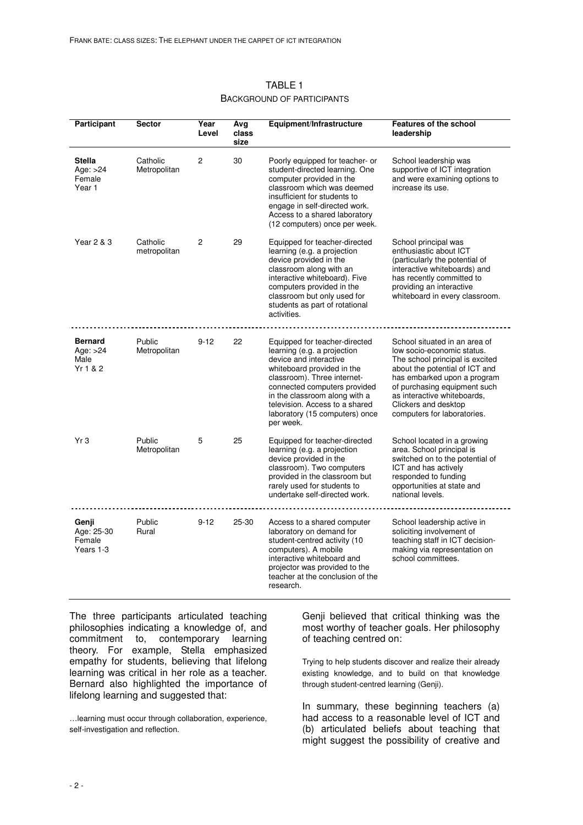| Participant                                      | <b>Sector</b>            | Year<br>Level | Avg<br>class<br>size | Equipment/Infrastructure                                                                                                                                                                                                                                                                              | Features of the school<br>leadership                                                                                                                                                                                                                                                  |
|--------------------------------------------------|--------------------------|---------------|----------------------|-------------------------------------------------------------------------------------------------------------------------------------------------------------------------------------------------------------------------------------------------------------------------------------------------------|---------------------------------------------------------------------------------------------------------------------------------------------------------------------------------------------------------------------------------------------------------------------------------------|
| <b>Stella</b><br>Age: $>24$<br>Female<br>Year 1  | Catholic<br>Metropolitan | 2             | 30                   | Poorly equipped for teacher- or<br>student-directed learning. One<br>computer provided in the<br>classroom which was deemed<br>insufficient for students to<br>engage in self-directed work.<br>Access to a shared laboratory<br>(12 computers) once per week.                                        | School leadership was<br>supportive of ICT integration<br>and were examining options to<br>increase its use.                                                                                                                                                                          |
| Year 2 & 3                                       | Catholic<br>metropolitan | 2             | 29                   | Equipped for teacher-directed<br>learning (e.g. a projection<br>device provided in the<br>classroom along with an<br>interactive whiteboard). Five<br>computers provided in the<br>classroom but only used for<br>students as part of rotational<br>activities.                                       | School principal was<br>enthusiastic about ICT<br>(particularly the potential of<br>interactive whiteboards) and<br>has recently committed to<br>providing an interactive<br>whiteboard in every classroom.                                                                           |
| <b>Bernard</b><br>Age: $>24$<br>Male<br>Yr 1 & 2 | Public<br>Metropolitan   | $9 - 12$      | 22                   | Equipped for teacher-directed<br>learning (e.g. a projection<br>device and interactive<br>whiteboard provided in the<br>classroom). Three internet-<br>connected computers provided<br>in the classroom along with a<br>television. Access to a shared<br>laboratory (15 computers) once<br>per week. | School situated in an area of<br>low socio-economic status.<br>The school principal is excited<br>about the potential of ICT and<br>has embarked upon a program<br>of purchasing equipment such<br>as interactive whiteboards,<br>Clickers and desktop<br>computers for laboratories. |
| Yr3                                              | Public<br>Metropolitan   | 5             | 25                   | Equipped for teacher-directed<br>learning (e.g. a projection<br>device provided in the<br>classroom). Two computers<br>provided in the classroom but<br>rarely used for students to<br>undertake self-directed work.                                                                                  | School located in a growing<br>area. School principal is<br>switched on to the potential of<br>ICT and has actively<br>responded to funding<br>opportunities at state and<br>national levels.                                                                                         |
| Genji<br>Age: 25-30<br>Female<br>Years 1-3       | Public<br>Rural          | $9 - 12$      | 25-30                | Access to a shared computer<br>laboratory on demand for<br>student-centred activity (10<br>computers). A mobile<br>interactive whiteboard and<br>projector was provided to the<br>teacher at the conclusion of the<br>research.                                                                       | School leadership active in<br>soliciting involvement of<br>teaching staff in ICT decision-<br>making via representation on<br>school committees.                                                                                                                                     |

# TABLE 1 BACKGROUND OF PARTICIPANTS

The three participants articulated teaching philosophies indicating a knowledge of, and commitment to, contemporary learning theory. For example, Stella emphasized empathy for students, believing that lifelong learning was critical in her role as a teacher. Bernard also highlighted the importance of lifelong learning and suggested that:

…learning must occur through collaboration, experience, self-investigation and reflection.

Genji believed that critical thinking was the most worthy of teacher goals. Her philosophy of teaching centred on:

Trying to help students discover and realize their already existing knowledge, and to build on that knowledge through student-centred learning (Genji).

In summary, these beginning teachers (a) had access to a reasonable level of ICT and (b) articulated beliefs about teaching that might suggest the possibility of creative and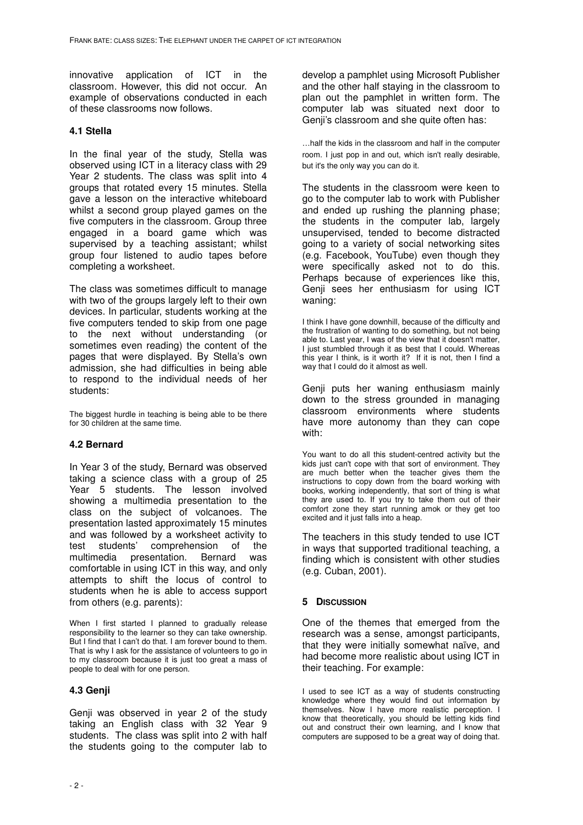innovative application of ICT in the classroom. However, this did not occur. An example of observations conducted in each of these classrooms now follows.

## **4.1 Stella**

In the final year of the study, Stella was observed using ICT in a literacy class with 29 Year 2 students. The class was split into 4 groups that rotated every 15 minutes. Stella gave a lesson on the interactive whiteboard whilst a second group played games on the five computers in the classroom. Group three engaged in a board game which was supervised by a teaching assistant; whilst group four listened to audio tapes before completing a worksheet.

The class was sometimes difficult to manage with two of the groups largely left to their own devices. In particular, students working at the five computers tended to skip from one page to the next without understanding (or sometimes even reading) the content of the pages that were displayed. By Stella's own admission, she had difficulties in being able to respond to the individual needs of her students:

The biggest hurdle in teaching is being able to be there for 30 children at the same time.

# **4.2 Bernard**

In Year 3 of the study, Bernard was observed taking a science class with a group of 25 Year 5 students. The lesson involved showing a multimedia presentation to the class on the subject of volcanoes. The presentation lasted approximately 15 minutes and was followed by a worksheet activity to test students' comprehension of the multimedia presentation. Bernard was comfortable in using ICT in this way, and only attempts to shift the locus of control to students when he is able to access support from others (e.g. parents):

When I first started I planned to gradually release responsibility to the learner so they can take ownership. But I find that I can't do that. I am forever bound to them. That is why I ask for the assistance of volunteers to go in to my classroom because it is just too great a mass of people to deal with for one person.

#### **4.3 Genji**

Genji was observed in year 2 of the study taking an English class with 32 Year 9 students. The class was split into 2 with half the students going to the computer lab to

develop a pamphlet using Microsoft Publisher and the other half staying in the classroom to plan out the pamphlet in written form. The computer lab was situated next door to Genji's classroom and she quite often has:

…half the kids in the classroom and half in the computer room. I just pop in and out, which isn't really desirable, but it's the only way you can do it.

The students in the classroom were keen to go to the computer lab to work with Publisher and ended up rushing the planning phase; the students in the computer lab, largely unsupervised, tended to become distracted going to a variety of social networking sites (e.g. Facebook, YouTube) even though they were specifically asked not to do this. Perhaps because of experiences like this, Genji sees her enthusiasm for using ICT waning:

I think I have gone downhill, because of the difficulty and the frustration of wanting to do something, but not being able to. Last year, I was of the view that it doesn't matter, I just stumbled through it as best that I could. Whereas this year I think, is it worth it? If it is not, then I find a way that I could do it almost as well.

Genji puts her waning enthusiasm mainly down to the stress grounded in managing classroom environments where students have more autonomy than they can cope with:

You want to do all this student-centred activity but the kids just can't cope with that sort of environment. They are much better when the teacher gives them the instructions to copy down from the board working with books, working independently, that sort of thing is what they are used to. If you try to take them out of their comfort zone they start running amok or they get too excited and it just falls into a heap.

The teachers in this study tended to use ICT in ways that supported traditional teaching, a finding which is consistent with other studies (e.g. Cuban, 2001).

#### **5 DISCUSSION**

One of the themes that emerged from the research was a sense, amongst participants, that they were initially somewhat naïve, and had become more realistic about using ICT in their teaching. For example:

I used to see ICT as a way of students constructing knowledge where they would find out information by themselves. Now I have more realistic perception. I know that theoretically, you should be letting kids find out and construct their own learning, and I know that computers are supposed to be a great way of doing that.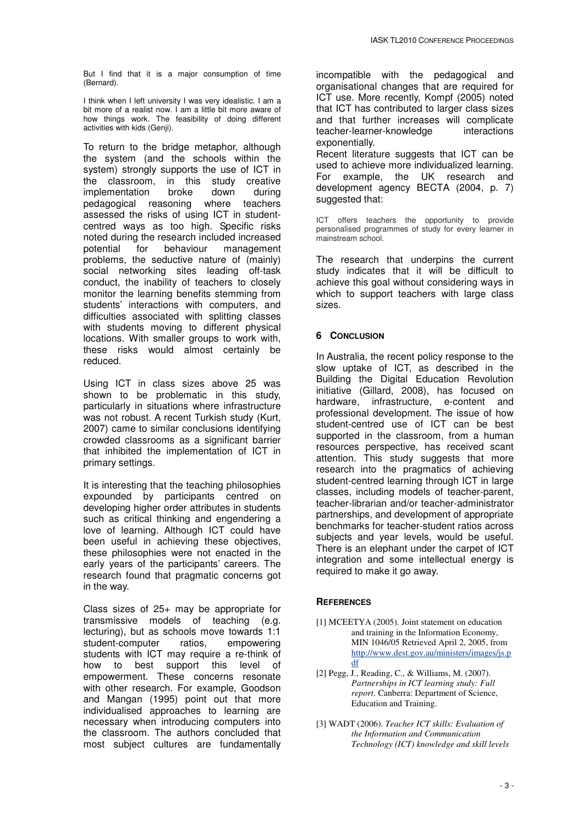But I find that it is a major consumption of time (Bernard).

I think when I left university I was very idealistic. I am a bit more of a realist now. I am a little bit more aware of how things work. The feasibility of doing different activities with kids (Genji).

To return to the bridge metaphor, although the system (and the schools within the system) strongly supports the use of ICT in the classroom, in this study creative implementation broke down during pedagogical reasoning where teachers assessed the risks of using ICT in studentcentred ways as too high. Specific risks noted during the research included increased potential for behaviour management problems, the seductive nature of (mainly) social networking sites leading off-task conduct, the inability of teachers to closely monitor the learning benefits stemming from students' interactions with computers, and difficulties associated with splitting classes with students moving to different physical locations. With smaller groups to work with, these risks would almost certainly be reduced.

Using ICT in class sizes above 25 was shown to be problematic in this study, particularly in situations where infrastructure was not robust. A recent Turkish study (Kurt, 2007) came to similar conclusions identifying crowded classrooms as a significant barrier that inhibited the implementation of ICT in primary settings.

It is interesting that the teaching philosophies expounded by participants centred on developing higher order attributes in students such as critical thinking and engendering a love of learning. Although ICT could have been useful in achieving these objectives, these philosophies were not enacted in the early years of the participants' careers. The research found that pragmatic concerns got in the way.

Class sizes of 25+ may be appropriate for transmissive models of teaching (e.g. lecturing), but as schools move towards 1:1 student-computer ratios, empowering students with ICT may require a re-think of how to best support this level of empowerment. These concerns resonate with other research. For example, Goodson and Mangan (1995) point out that more individualised approaches to learning are necessary when introducing computers into the classroom. The authors concluded that most subject cultures are fundamentally

incompatible with the pedagogical and organisational changes that are required for ICT use. More recently, Kompf (2005) noted that ICT has contributed to larger class sizes and that further increases will complicate teacher-learner-knowledge interactions exponentially.

Recent literature suggests that ICT can be used to achieve more individualized learning. For example, the UK research and development agency BECTA (2004, p. 7) suggested that:

ICT offers teachers the opportunity to provide personalised programmes of study for every learner in mainstream school.

The research that underpins the current study indicates that it will be difficult to achieve this goal without considering ways in which to support teachers with large class sizes.

# **6 CONCLUSION**

In Australia, the recent policy response to the slow uptake of ICT, as described in the Building the Digital Education Revolution initiative (Gillard, 2008), has focused on hardware, infrastructure, e-content and professional development. The issue of how student-centred use of ICT can be best supported in the classroom, from a human resources perspective, has received scant attention. This study suggests that more research into the pragmatics of achieving student-centred learning through ICT in large classes, including models of teacher-parent, teacher-librarian and/or teacher-administrator partnerships, and development of appropriate benchmarks for teacher-student ratios across subjects and year levels, would be useful. There is an elephant under the carpet of ICT integration and some intellectual energy is required to make it go away.

#### **REFERENCES**

- [1] MCEETYA (2005). Joint statement on education and training in the Information Economy, MIN 1046/05 Retrieved April 2, 2005, from http://www.dest.gov.au/ministers/images/js.p df
- [2] Pegg, J., Reading, C., & Williams, M. (2007). *Partnerships in ICT learning study: Full report*. Canberra: Department of Science, Education and Training.
- [3] WADT (2006). *Teacher ICT skills: Evaluation of the Information and Communication Technology (ICT) knowledge and skill levels*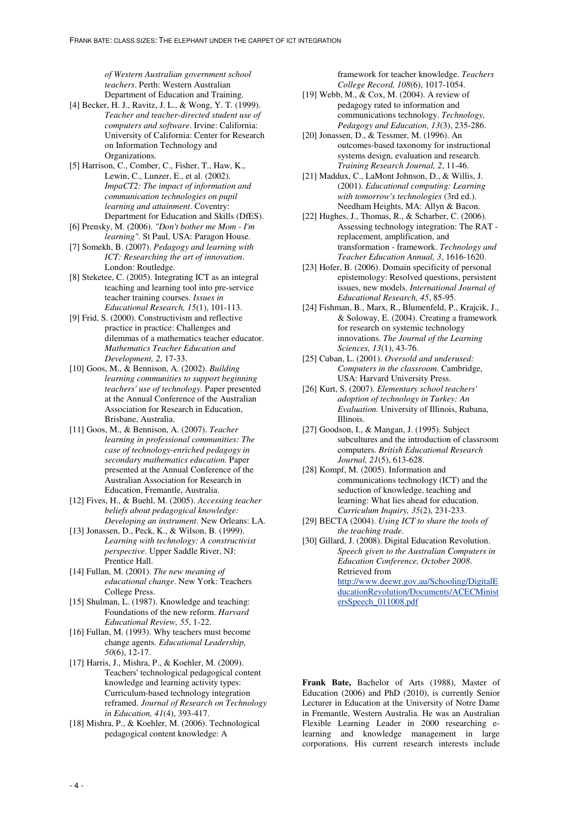*of Western Australian government school teachers*. Perth: Western Australian Department of Education and Training.

- [4] Becker, H. J., Ravitz, J. L., & Wong, Y. T. (1999). *Teacher and teacher-directed student use of computers and software*. Irvine: California: University of California: Center for Research on Information Technology and Organizations.
- [5] Harrison, C., Comber, C., Fisher, T., Haw, K., Lewin, C., Lunzer, E., et al. (2002). *ImpaCT2: The impact of information and communication technologies on pupil learning and attainment*. Coventry: Department for Education and Skills (DfES).
- [6] Prensky, M. (2006). *"Don't bother me Mom I'm learning"*. St Paul, USA: Paragon House.
- [7] Somekh, B. (2007). *Pedagogy and learning with ICT: Researching the art of innovation*. London: Routledge.
- [8] Steketee, C. (2005). Integrating ICT as an integral teaching and learning tool into pre-service teacher training courses. *Issues in Educational Research, 15*(1), 101-113.
- [9] Frid, S. (2000). Constructivism and reflective practice in practice: Challenges and dilemmas of a mathematics teacher educator. *Mathematics Teacher Education and Development, 2*, 17-33.
- [10] Goos, M., & Bennison, A. (2002). *Building learning communities to support beginning teachers' use of technology.* Paper presented at the Annual Conference of the Australian Association for Research in Education, Brisbane, Australia.
- [11] Goos, M., & Bennison, A. (2007). *Teacher learning in professional communities: The case of technology-enriched pedagogy in secondary mathematics education.* Paper presented at the Annual Conference of the Australian Association for Research in Education, Fremantle, Australia.
- [12] Fives, H., & Buehl, M. (2005). *Accessing teacher beliefs about pedagogical knowledge: Developing an instrument*. New Orleans: LA.
- [13] Jonassen, D., Peck, K., & Wilson, B. (1999). *Learning with technology: A constructivist perspective*. Upper Saddle River, NJ: Prentice Hall.
- [14] Fullan, M. (2001). *The new meaning of educational change*. New York: Teachers College Press.
- [15] Shulman, L. (1987). Knowledge and teaching: Foundations of the new reform. *Harvard Educational Review, 55*, 1-22.
- [16] Fullan, M. (1993). Why teachers must become change agents. *Educational Leadership, 50*(6), 12-17.
- [17] Harris, J., Mishra, P., & Koehler, M. (2009). Teachers' technological pedagogical content knowledge and learning activity types: Curriculum-based technology integration reframed. *Journal of Research on Technology in Education, 41*(4), 393-417.
- [18] Mishra, P., & Koehler, M. (2006). Technological pedagogical content knowledge: A

framework for teacher knowledge. *Teachers College Record, 108*(6), 1017-1054.

- [19] Webb, M., & Cox, M. (2004). A review of pedagogy rated to information and communications technology. *Technology, Pedagogy and Education, 13*(3), 235-286.
- [20] Jonassen, D., & Tessmer, M. (1996). An outcomes-based taxonomy for instructional systems design, evaluation and research. *Training Research Journal, 2*, 11-46.
- [21] Maddux, C., LaMont Johnson, D., & Willis, J. (2001). *Educational computing: Learning with tomorrow's technologies* (3rd ed.). Needham Heights, MA: Allyn & Bacon.
- [22] Hughes, J., Thomas, R., & Scharber, C. (2006). Assessing technology integration: The RAT replacement, amplification, and transformation - framework. *Technology and Teacher Education Annual, 3*, 1616-1620.
- [23] Hofer, B. (2006). Domain specificity of personal epistemology: Resolved questions, persistent issues, new models. *International Journal of Educational Research, 45*, 85-95.
- [24] Fishman, B., Marx, R., Blumenfeld, P., Krajcik, J., & Soloway, E. (2004). Creating a framework for research on systemic technology innovations. *The Journal of the Learning Sciences, 13*(1), 43-76.
- [25] Cuban, L. (2001). *Oversold and underused: Computers in the classroom*. Cambridge, USA: Harvard University Press.
- [26] Kurt, S. (2007). *Elementary school teachers' adoption of technology in Turkey: An Evaluation.* University of Illinois, Rubana, Illinois.
- [27] Goodson, I., & Mangan, J. (1995). Subject subcultures and the introduction of classroom computers. *British Educational Research Journal, 21*(5), 613-628.
- [28] Kompf, M. (2005). Information and communications technology (ICT) and the seduction of knowledge, teaching and learning: What lies ahead for education. *Curriculum Inquiry, 35*(2), 231-233.
- [29] BECTA (2004). *Using ICT to share the tools of the teaching trade*.
- [30] Gillard, J. (2008). Digital Education Revolution. *Speech given to the Australian Computers in Education Conference, October 2008*. Retrieved from http://www.deewr.gov.au/Schooling/DigitalE

ducationRevolution/Documents/ACECMinist ersSpeech\_011008.pdf

**Frank Bate,** Bachelor of Arts (1988), Master of Education (2006) and PhD (2010), is currently Senior Lecturer in Education at the University of Notre Dame in Fremantle, Western Australia. He was an Australian Flexible Learning Leader in 2000 researching elearning and knowledge management in large corporations. His current research interests include